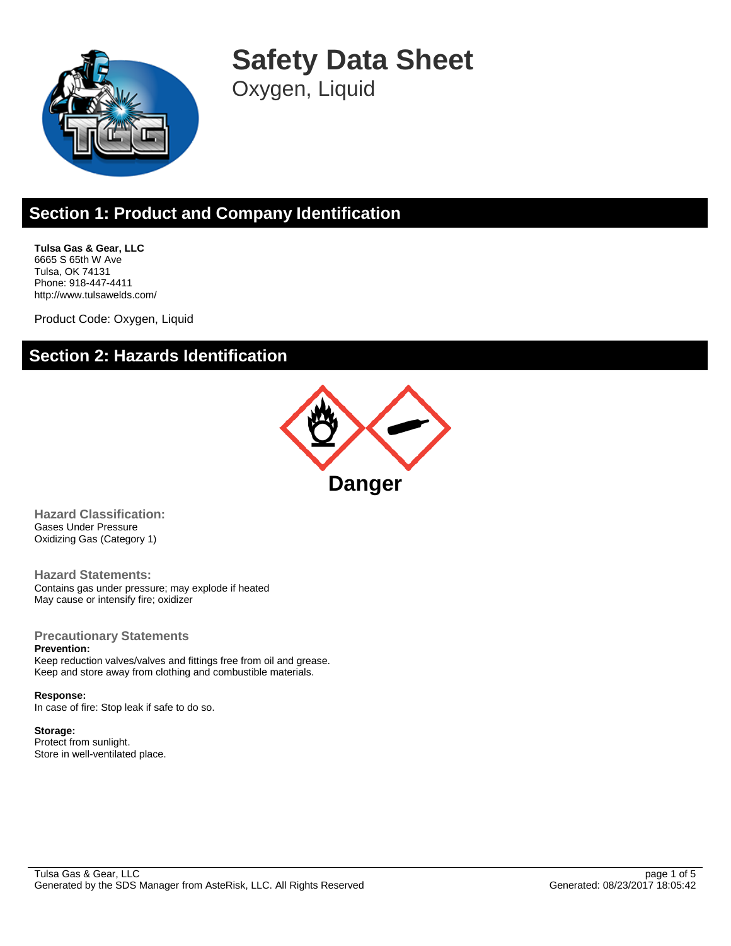

**Safety Data Sheet**

Oxygen, Liquid

# **Section 1: Product and Company Identification**

**Tulsa Gas & Gear, LLC** 6665 S 65th W Ave Tulsa, OK 74131 Phone: 918-447-4411 http://www.tulsawelds.com/

Product Code: Oxygen, Liquid

### **Section 2: Hazards Identification**



**Hazard Classification:** Gases Under Pressure Oxidizing Gas (Category 1)

**Hazard Statements:** Contains gas under pressure; may explode if heated May cause or intensify fire; oxidizer

#### **Precautionary Statements**

**Prevention:**

Keep reduction valves/valves and fittings free from oil and grease. Keep and store away from clothing and combustible materials.

### **Response:**

In case of fire: Stop leak if safe to do so.

#### **Storage:**

Protect from sunlight. Store in well-ventilated place.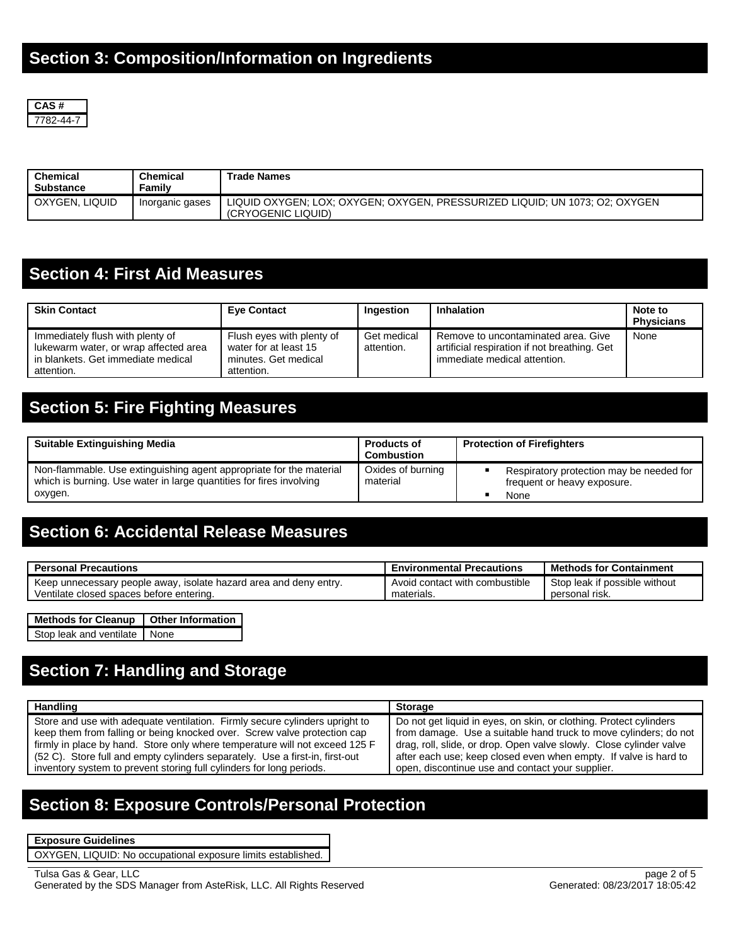

| <b>Chemical</b><br>Substance | Chemical<br>Familv | <b>Trade Names</b>                                                                                |
|------------------------------|--------------------|---------------------------------------------------------------------------------------------------|
| OXYGEN, LIQUID               | Inorganic gases    | LIQUID OXYGEN: LOX: OXYGEN: OXYGEN, PRESSURIZED LIQUID: UN 1073: O2: OXYGEN<br>(CRYOGENIC LIQUID) |

## **Section 4: First Aid Measures**

| <b>Skin Contact</b>                                                                                                           | <b>Eye Contact</b>                                                                       | Ingestion                 | Inhalation                                                                                                          | Note to<br><b>Physicians</b> |
|-------------------------------------------------------------------------------------------------------------------------------|------------------------------------------------------------------------------------------|---------------------------|---------------------------------------------------------------------------------------------------------------------|------------------------------|
| Immediately flush with plenty of<br>lukewarm water, or wrap affected area<br>in blankets. Get immediate medical<br>attention. | Flush eyes with plenty of<br>water for at least 15<br>minutes. Get medical<br>attention. | Get medical<br>attention. | Remove to uncontaminated area. Give<br>artificial respiration if not breathing. Get<br>immediate medical attention. | None                         |

## **Section 5: Fire Fighting Measures**

| <b>Suitable Extinguishing Media</b>                                                                                                                   | <b>Products of</b><br><b>Combustion</b> | <b>Protection of Firefighters</b>                                               |
|-------------------------------------------------------------------------------------------------------------------------------------------------------|-----------------------------------------|---------------------------------------------------------------------------------|
| Non-flammable. Use extinguishing agent appropriate for the material<br>which is burning. Use water in large quantities for fires involving<br>oxygen. | Oxides of burning<br>material           | Respiratory protection may be needed for<br>frequent or heavy exposure.<br>None |

## **Section 6: Accidental Release Measures**

| <b>Personal Precautions</b>                                       | <b>Environmental Precautions</b> | <b>Methods for Containment</b> |
|-------------------------------------------------------------------|----------------------------------|--------------------------------|
| Keep unnecessary people away, isolate hazard area and deny entry. | Avoid contact with combustible   | Stop leak if possible without  |
| Ventilate closed spaces before entering.                          | materials.                       | personal risk.                 |

| Methods for Cleanup   Other Information |  |
|-----------------------------------------|--|
| Stop leak and ventilate None            |  |

### **Section 7: Handling and Storage**

| <b>Handling</b>                                                              | <b>Storage</b>                                                      |
|------------------------------------------------------------------------------|---------------------------------------------------------------------|
| Store and use with adequate ventilation. Firmly secure cylinders upright to  | Do not get liquid in eyes, on skin, or clothing. Protect cylinders  |
| keep them from falling or being knocked over. Screw valve protection cap     | from damage. Use a suitable hand truck to move cylinders; do not    |
| firmly in place by hand. Store only where temperature will not exceed 125 F  | drag, roll, slide, or drop. Open valve slowly. Close cylinder valve |
| (52 C). Store full and empty cylinders separately. Use a first-in, first-out | after each use; keep closed even when empty. If valve is hard to    |
| inventory system to prevent storing full cylinders for long periods.         | open, discontinue use and contact your supplier.                    |

## **Section 8: Exposure Controls/Personal Protection**

**Exposure Guidelines**

OXYGEN, LIQUID: No occupational exposure limits established.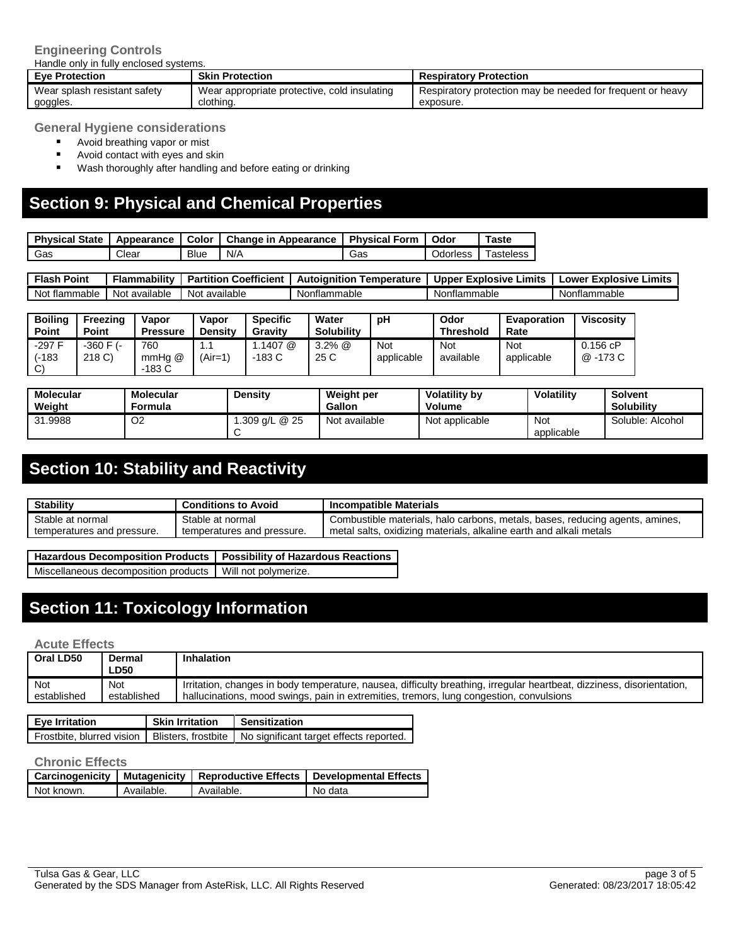#### **Engineering Controls**

Handle only in fully enclosed systems.

| <b>Eve Protection</b>        | <b>Skin Protection</b>                       | <b>Respiratory Protection</b>                              |
|------------------------------|----------------------------------------------|------------------------------------------------------------|
| Wear splash resistant safety | Wear appropriate protective, cold insulating | Respiratory protection may be needed for frequent or heavy |
| goggles.                     | clothing.                                    | exposure.                                                  |

**General Hygiene considerations**

- **Avoid breathing vapor or mist**
- Avoid contact with eyes and skin
- **Wash thoroughly after handling and before eating or drinking**

## **Section 9: Physical and Chemical Properties**

| <b>Physical State</b> | Appearance | Color       | <b>Change in Appearance</b> | <b>Physical Form</b> | Odor            | $Take$                |
|-----------------------|------------|-------------|-----------------------------|----------------------|-----------------|-----------------------|
| Gas                   | Clear      | <b>Blue</b> | N/A                         | Gas                  | <b>Jdorless</b> | <sup>-</sup> asteless |

| Point<br>Flash | .<br>-lammabilitv | Coefficient<br><b>Partition</b> | Autoianition<br>Temperature | _imits<br>Explosive<br><b>Upper</b> | * Explosive Limits<br>∟ower |
|----------------|-------------------|---------------------------------|-----------------------------|-------------------------------------|-----------------------------|
| Not flammable  | Not available     | Not available                   | Nonflammable                | Nonflammable                        | Nonflammable                |

| <b>Boiling</b><br>Point | Freezing<br>Point        | Vapor<br><b>Pressure</b> | Vapor<br><b>Density</b> | <b>Specific</b><br>Gravity | Water<br><b>Solubility</b> | рH                       | Odor<br><b>Threshold</b> | Evaporation<br>Rate | <b>Viscosity</b>     |
|-------------------------|--------------------------|--------------------------|-------------------------|----------------------------|----------------------------|--------------------------|--------------------------|---------------------|----------------------|
| $-297F$<br>(-183<br>C)  | $-360$ F $(-)$<br>218 C) | 760<br>mmHa @<br>$-183C$ | . .<br>$(Air=1)$        | .1407 @<br>$-183C$         | $3.2\%$ $@$<br>25 C        | <b>Not</b><br>applicable | Not<br>available         | Not<br>applicable   | 0.156 cP<br>@ -173 C |

| <b>Molecular</b><br>Weiaht | <b>Molecular</b><br>Formula | Density       | Weight per<br>Gallon | Volatility by<br><b>Volume</b> | <b>Volatility</b> | <b>Solvent</b><br><b>Solubility</b> |
|----------------------------|-----------------------------|---------------|----------------------|--------------------------------|-------------------|-------------------------------------|
| 31.9988                    | O2                          | .309 g/L @ 25 | Not available        | Not applicable                 | Not<br>applicable | Soluble: Alcohol                    |

# **Section 10: Stability and Reactivity**

| <b>Stability</b>           | <b>Conditions to Avoid</b> | <b>Incompatible Materials</b>                                                |
|----------------------------|----------------------------|------------------------------------------------------------------------------|
| Stable at normal           | Stable at normal           | Combustible materials, halo carbons, metals, bases, reducing agents, amines, |
| temperatures and pressure. | temperatures and pressure. | metal salts, oxidizing materials, alkaline earth and alkali metals           |

| Hazardous Decomposition Products   Possibility of Hazardous Reactions |  |
|-----------------------------------------------------------------------|--|
| Miscellaneous decomposition products   Will not polymerize.           |  |

# **Section 11: Toxicology Information**

**Acute Effects**

| Oral LD50   | Dermal<br>∟D50 | <b>Inhalation</b>                                                                                                      |
|-------------|----------------|------------------------------------------------------------------------------------------------------------------------|
| Not         | <b>Not</b>     | Irritation, changes in body temperature, nausea, difficulty breathing, irregular heartbeat, dizziness, disorientation, |
| established | established    | hallucinations, mood swings, pain in extremities, tremors, lung congestion, convulsions                                |

| <b>Skin Irritation</b><br>Eye Irritation |  | Sensitization                                                                             |  |
|------------------------------------------|--|-------------------------------------------------------------------------------------------|--|
|                                          |  | Frostbite, blurred vision   Blisters, frostbite   No significant target effects reported. |  |

#### **Chronic Effects**

|            |            |            | 「Carcinogenicity   Mutagenicity   Reproductive Effects   Developmental Effects |
|------------|------------|------------|--------------------------------------------------------------------------------|
| Not known. | Available. | Available. | No data                                                                        |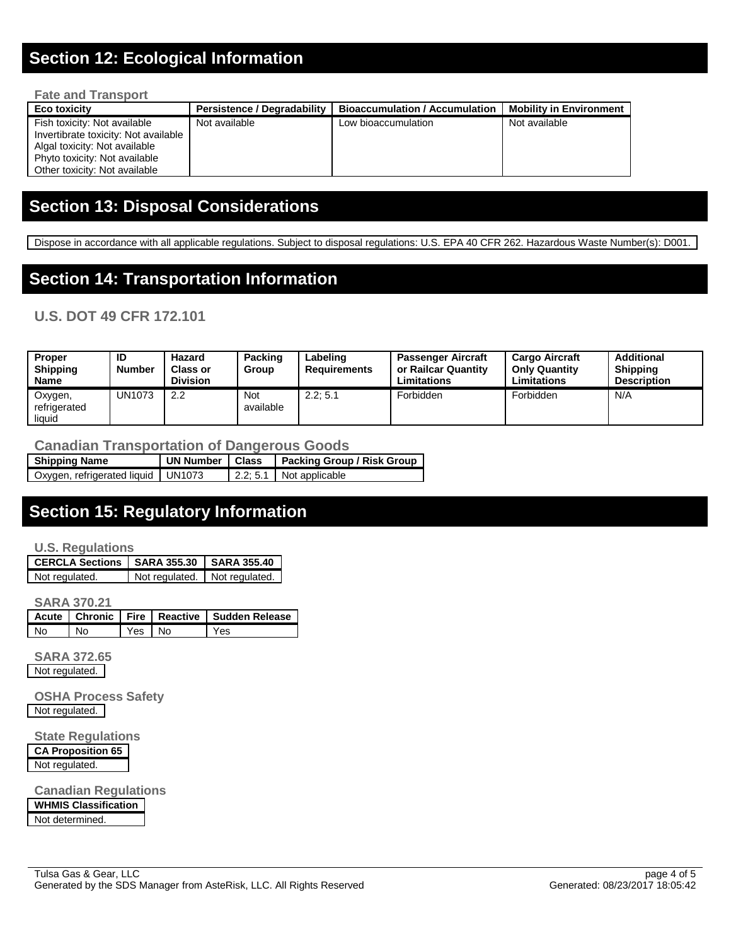## **Section 12: Ecological Information**

| <b>Fate and Transport</b>                                                                                                                                               |                                    |                                       |                                |  |  |  |
|-------------------------------------------------------------------------------------------------------------------------------------------------------------------------|------------------------------------|---------------------------------------|--------------------------------|--|--|--|
| <b>Eco toxicity</b>                                                                                                                                                     | <b>Persistence / Degradability</b> | <b>Bioaccumulation / Accumulation</b> | <b>Mobility in Environment</b> |  |  |  |
| Fish toxicity: Not available<br>Invertibrate toxicity: Not available<br>Algal toxicity: Not available<br>Phyto toxicity: Not available<br>Other toxicity: Not available | Not available                      | Low bioaccumulation                   | Not available                  |  |  |  |

## **Section 13: Disposal Considerations**

Dispose in accordance with all applicable regulations. Subject to disposal regulations: U.S. EPA 40 CFR 262. Hazardous Waste Number(s): D001.

## **Section 14: Transportation Information**

### **U.S. DOT 49 CFR 172.101**

| <b>Proper</b><br><b>Shipping</b><br><b>Name</b> | ID<br><b>Number</b> | Hazard<br><b>Class or</b><br><b>Division</b> | Packing<br>Group | Labeling<br><b>Requirements</b> | <b>Passenger Aircraft</b><br>or Railcar Quantity<br><b>Limitations</b> | <b>Cargo Aircraft</b><br><b>Only Quantity</b><br>Limitations | Additional<br><b>Shipping</b><br><b>Description</b> |
|-------------------------------------------------|---------------------|----------------------------------------------|------------------|---------------------------------|------------------------------------------------------------------------|--------------------------------------------------------------|-----------------------------------------------------|
| Oxygen,<br>refrigerated<br>liquid               | <b>UN1073</b>       | 2.2                                          | Not<br>available | 2.2:5.1                         | Forbidden                                                              | Forbidden                                                    | N/A                                                 |

#### **Canadian Transportation of Dangerous Goods**

| <b>Shipping Name</b>                 | UN Number   Class | <b>Packing Group / Risk Group</b> |
|--------------------------------------|-------------------|-----------------------------------|
| Oxygen, refrigerated liquid   UN1073 |                   | $\vert$ 2.2; 5.1 Not applicable   |

### **Section 15: Regulatory Information**

#### **U.S. Regulations**

| CERCLA Sections   SARA 355.30   SARA 355.40 |                               |  |
|---------------------------------------------|-------------------------------|--|
| Not regulated.                              | Not regulated. Not regulated. |  |

**SARA 370.21**

|    |      |        | Acute   Chronic   Fire   Reactive   Sudden Release |
|----|------|--------|----------------------------------------------------|
| No | l No | Yes No | Yes                                                |

**SARA 372.65** Not regulated.

**OSHA Process Safety** Not regulated.

**State Regulations CA Proposition 65** Not regulated.

**Canadian Regulations**

**WHMIS Classification** Not determined.